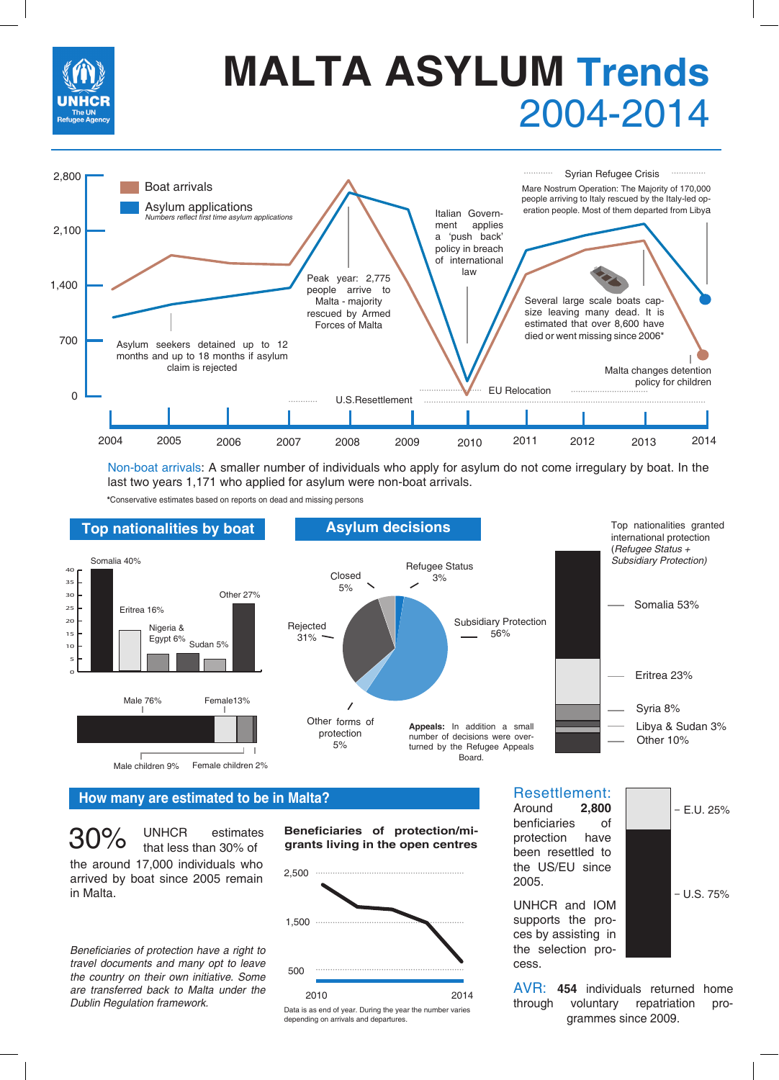

## 2004-2014 **MALTA ASYLUM Trends**



Non-boat arrivals: A smaller number of individuals who apply for asylum do not come irregulary by boat. In the last two years 1,171 who applied for asylum were non-boat arrivals.

**\***Conservative estimates based on reports on dead and missing persons



#### **How many are estimated to be in Malta?**

 $30\%$  UNHCR estimates the around 17,000 individuals who arrived by boat since 2005 remain in Malta.

Beneficiaries of protection have a right to travel documents and many opt to leave the country on their own initiative. Some are transferred back to Malta under the Dublin Regulation framework.

**Beneficiaries of protection/migrants living in the open centres**



Data is as end of year. During the year the number varies depending on arrivals and departures.

Resettlement:<br>Around 2,800 Around

benficiaries of protection have been resettled to the US/EU since 2005.

UNHCR and IOM supports the proces by assisting in the selection process.



AVR: **454** individuals returned home through voluntary repatriation programmes since 2009.